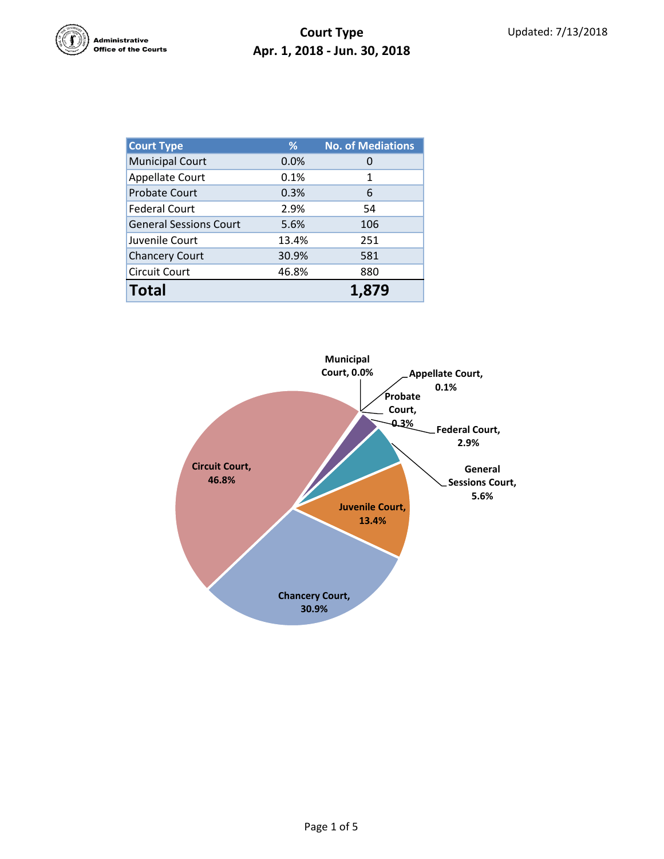

## **Court Type Apr. 1, 2018 - Jun. 30, 2018**

| <b>Court Type</b>             | %            | <b>No. of Mediations</b> |  |  |
|-------------------------------|--------------|--------------------------|--|--|
| <b>Municipal Court</b>        | 0.0%         |                          |  |  |
| Appellate Court               | 0.1%         | 1                        |  |  |
| <b>Probate Court</b>          | 0.3%         | 6                        |  |  |
| <b>Federal Court</b>          | 2.9%         | 54                       |  |  |
| <b>General Sessions Court</b> | 5.6%         | 106                      |  |  |
| Juvenile Court                | 13.4%        | 251                      |  |  |
| <b>Chancery Court</b>         | 30.9%        | 581                      |  |  |
| <b>Circuit Court</b>          | 46.8%<br>880 |                          |  |  |
| <b>Total</b>                  |              |                          |  |  |

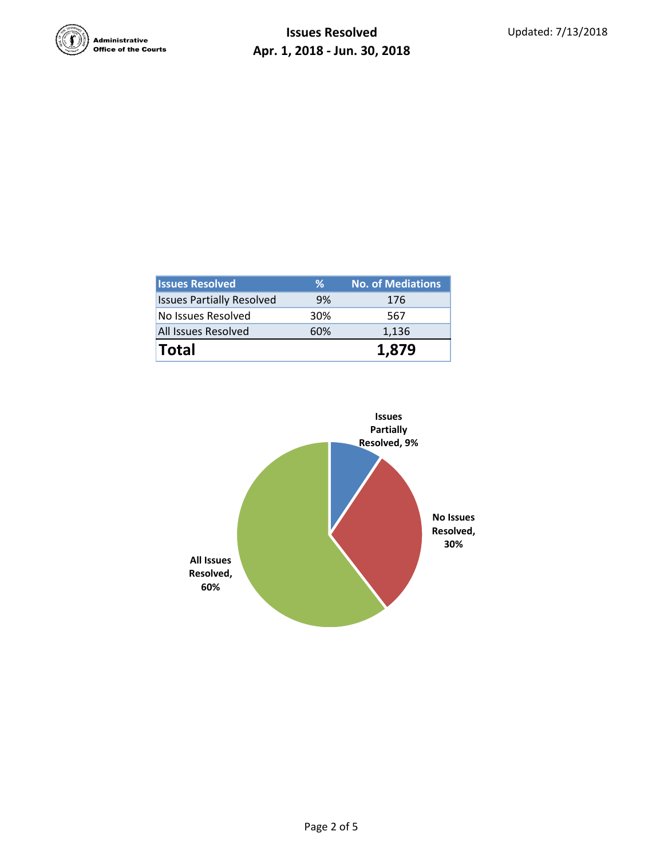

| <b>Issues Resolved</b>           | %   | <b>No. of Mediations</b> |
|----------------------------------|-----|--------------------------|
| <b>Issues Partially Resolved</b> | 9%  | 176                      |
| No Issues Resolved               | 30% | 567                      |
| <b>All Issues Resolved</b>       | 60% | 1,136                    |
| <b>Total</b>                     |     | 1.879                    |

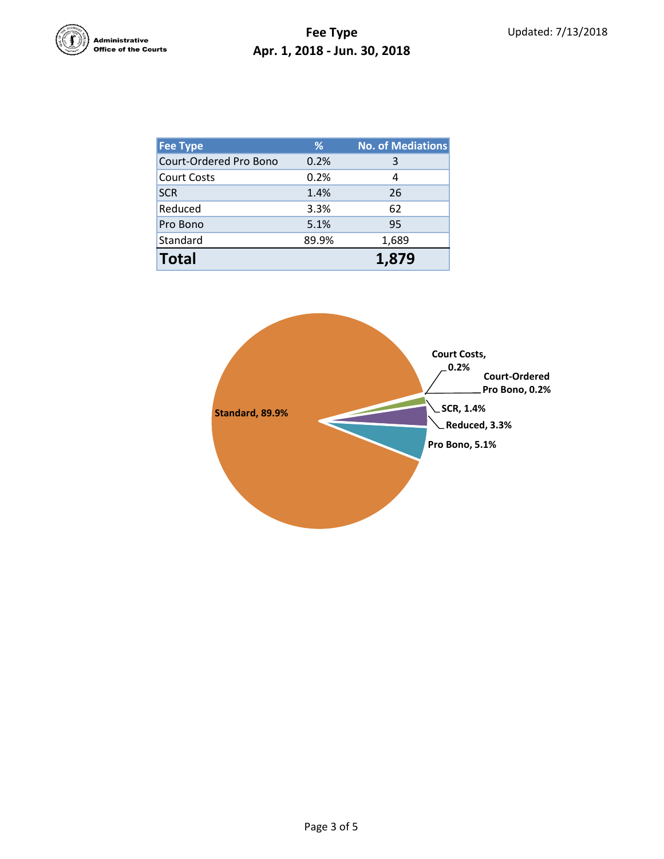

## **Fee Type Apr. 1, 2018 - Jun. 30, 2018**

| <b>Fee Type</b>        | %     | <b>No. of Mediations</b> |
|------------------------|-------|--------------------------|
| Court-Ordered Pro Bono | 0.2%  | 3                        |
| <b>Court Costs</b>     | 0.2%  | 4                        |
| <b>SCR</b>             | 1.4%  | 26                       |
| Reduced                | 3.3%  | 62                       |
| Pro Bono               | 5.1%  | 95                       |
| Standard               | 89.9% | 1,689                    |
| <b>Total</b>           |       | 1.879                    |

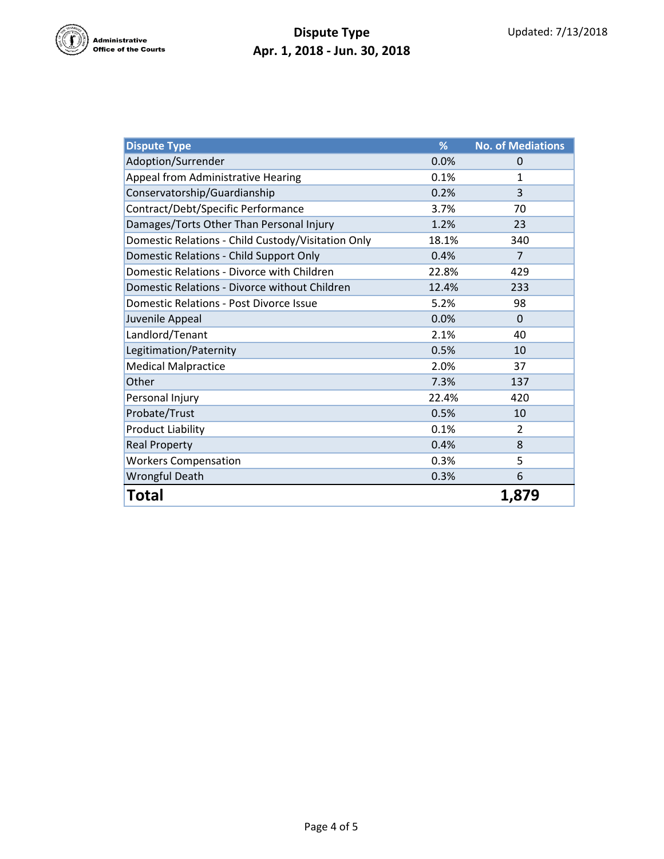

## **Dispute Type Apr. 1, 2018 - Jun. 30, 2018**

| <b>Dispute Type</b>                                | %     | <b>No. of Mediations</b> |
|----------------------------------------------------|-------|--------------------------|
| Adoption/Surrender                                 | 0.0%  | 0                        |
| <b>Appeal from Administrative Hearing</b>          | 0.1%  | $\mathbf{1}$             |
| Conservatorship/Guardianship                       | 0.2%  | 3                        |
| Contract/Debt/Specific Performance                 | 3.7%  | 70                       |
| Damages/Torts Other Than Personal Injury           | 1.2%  | 23                       |
| Domestic Relations - Child Custody/Visitation Only | 18.1% | 340                      |
| Domestic Relations - Child Support Only            | 0.4%  | 7                        |
| Domestic Relations - Divorce with Children         | 22.8% | 429                      |
| Domestic Relations - Divorce without Children      | 12.4% | 233                      |
| <b>Domestic Relations - Post Divorce Issue</b>     | 5.2%  | 98                       |
| Juvenile Appeal                                    | 0.0%  | $\Omega$                 |
| Landlord/Tenant                                    | 2.1%  | 40                       |
| Legitimation/Paternity                             | 0.5%  | 10                       |
| <b>Medical Malpractice</b>                         | 2.0%  | 37                       |
| Other                                              | 7.3%  | 137                      |
| Personal Injury                                    | 22.4% | 420                      |
| Probate/Trust                                      | 0.5%  | 10                       |
| <b>Product Liability</b>                           | 0.1%  | $\overline{2}$           |
| <b>Real Property</b>                               | 0.4%  | 8                        |
| <b>Workers Compensation</b>                        | 0.3%  | 5                        |
| Wrongful Death                                     | 0.3%  | 6                        |
| Total                                              |       | 1,879                    |